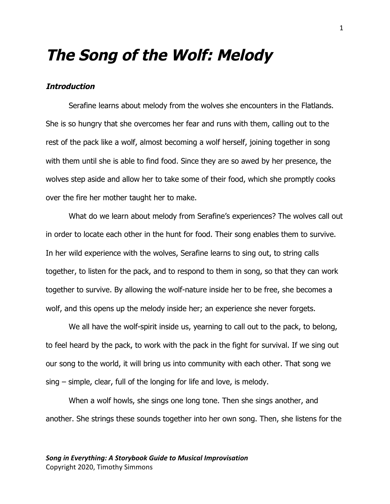### **The Song of the Wolf: Melody**

#### **Introduction**

Serafine learns about melody from the wolves she encounters in the Flatlands. She is so hungry that she overcomes her fear and runs with them, calling out to the rest of the pack like a wolf, almost becoming a wolf herself, joining together in song with them until she is able to find food. Since they are so awed by her presence, the wolves step aside and allow her to take some of their food, which she promptly cooks over the fire her mother taught her to make.

What do we learn about melody from Serafine's experiences? The wolves call out in order to locate each other in the hunt for food. Their song enables them to survive. In her wild experience with the wolves, Serafine learns to sing out, to string calls together, to listen for the pack, and to respond to them in song, so that they can work together to survive. By allowing the wolf-nature inside her to be free, she becomes a wolf, and this opens up the melody inside her; an experience she never forgets.

We all have the wolf-spirit inside us, yearning to call out to the pack, to belong, to feel heard by the pack, to work with the pack in the fight for survival. If we sing out our song to the world, it will bring us into community with each other. That song we sing – simple, clear, full of the longing for life and love, is melody.

When a wolf howls, she sings one long tone. Then she sings another, and another. She strings these sounds together into her own song. Then, she listens for the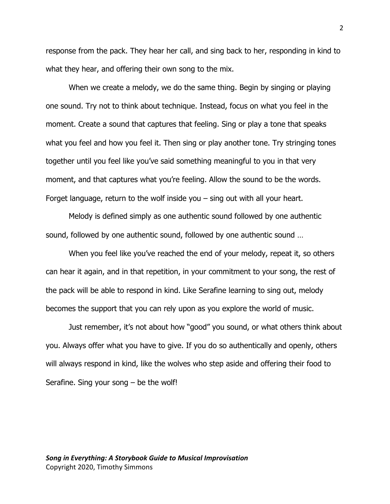response from the pack. They hear her call, and sing back to her, responding in kind to what they hear, and offering their own song to the mix.

When we create a melody, we do the same thing. Begin by singing or playing one sound. Try not to think about technique. Instead, focus on what you feel in the moment. Create a sound that captures that feeling. Sing or play a tone that speaks what you feel and how you feel it. Then sing or play another tone. Try stringing tones together until you feel like you've said something meaningful to you in that very moment, and that captures what you're feeling. Allow the sound to be the words. Forget language, return to the wolf inside you – sing out with all your heart.

Melody is defined simply as one authentic sound followed by one authentic sound, followed by one authentic sound, followed by one authentic sound …

When you feel like you've reached the end of your melody, repeat it, so others can hear it again, and in that repetition, in your commitment to your song, the rest of the pack will be able to respond in kind. Like Serafine learning to sing out, melody becomes the support that you can rely upon as you explore the world of music.

Just remember, it's not about how "good" you sound, or what others think about you. Always offer what you have to give. If you do so authentically and openly, others will always respond in kind, like the wolves who step aside and offering their food to Serafine. Sing your song  $-$  be the wolf!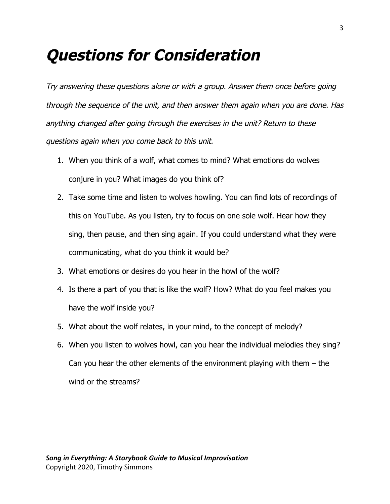## **Questions for Consideration**

Try answering these questions alone or with a group. Answer them once before going through the sequence of the unit, and then answer them again when you are done. Has anything changed after going through the exercises in the unit? Return to these questions again when you come back to this unit.

- 1. When you think of a wolf, what comes to mind? What emotions do wolves conjure in you? What images do you think of?
- 2. Take some time and listen to wolves howling. You can find lots of recordings of this on YouTube. As you listen, try to focus on one sole wolf. Hear how they sing, then pause, and then sing again. If you could understand what they were communicating, what do you think it would be?
- 3. What emotions or desires do you hear in the howl of the wolf?
- 4. Is there a part of you that is like the wolf? How? What do you feel makes you have the wolf inside you?
- 5. What about the wolf relates, in your mind, to the concept of melody?
- 6. When you listen to wolves howl, can you hear the individual melodies they sing? Can you hear the other elements of the environment playing with them – the wind or the streams?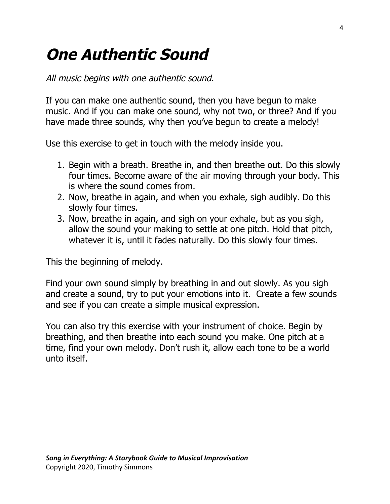# **One Authentic Sound**

All music begins with one authentic sound.

 If you can make one authentic sound, then you have begun to make music. And if you can make one sound, why not two, or three? And if you have made three sounds, why then you've begun to create a melody!

Use this exercise to get in touch with the melody inside you.

- 1. Begin with a breath. Breathe in, and then breathe out. Do this slowly four times. Become aware of the air moving through your body. This is where the sound comes from.
- 2. Now, breathe in again, and when you exhale, sigh audibly. Do this slowly four times.
- 3. Now, breathe in again, and sigh on your exhale, but as you sigh, allow the sound your making to settle at one pitch. Hold that pitch, whatever it is, until it fades naturally. Do this slowly four times.

This the beginning of melody.

 Find your own sound simply by breathing in and out slowly. As you sigh and create a sound, try to put your emotions into it. Create a few sounds and see if you can create a simple musical expression.

 You can also try this exercise with your instrument of choice. Begin by breathing, and then breathe into each sound you make. One pitch at a time, find your own melody. Don't rush it, allow each tone to be a world unto itself.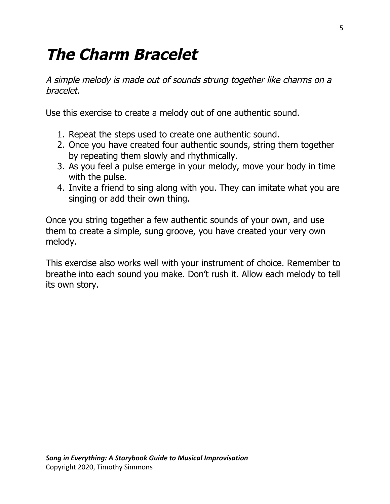## **The Charm Bracelet**

 A simple melody is made out of sounds strung together like charms on <sup>a</sup> bracelet.

Use this exercise to create a melody out of one authentic sound.

- 1. Repeat the steps used to create one authentic sound.
- 2. Once you have created four authentic sounds, string them together by repeating them slowly and rhythmically.
- 3. As you feel a pulse emerge in your melody, move your body in time with the pulse.
- 4. Invite a friend to sing along with you. They can imitate what you are singing or add their own thing.

 Once you string together a few authentic sounds of your own, and use them to create a simple, sung groove, you have created your very own melody.

 This exercise also works well with your instrument of choice. Remember to breathe into each sound you make. Don't rush it. Allow each melody to tell its own story.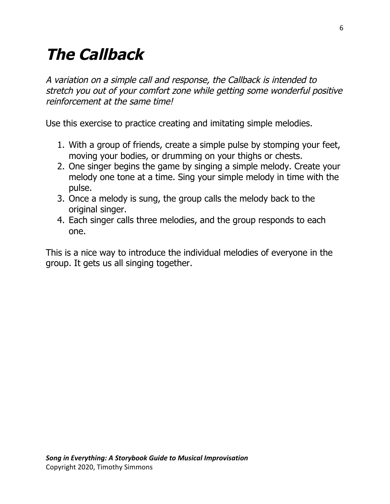# **The Callback**

 A variation on <sup>a</sup> simple call and response, the Callback is intended to stretch you out of your comfort zone while getting some wonderful positive reinforcement at the same time!

Use this exercise to practice creating and imitating simple melodies.

- 1. With a group of friends, create a simple pulse by stomping your feet, moving your bodies, or drumming on your thighs or chests.
- 2. One singer begins the game by singing a simple melody. Create your melody one tone at a time. Sing your simple melody in time with the pulse.
- 3. Once a melody is sung, the group calls the melody back to the original singer.
- 4. Each singer calls three melodies, and the group responds to each one.

 This is a nice way to introduce the individual melodies of everyone in the group. It gets us all singing together.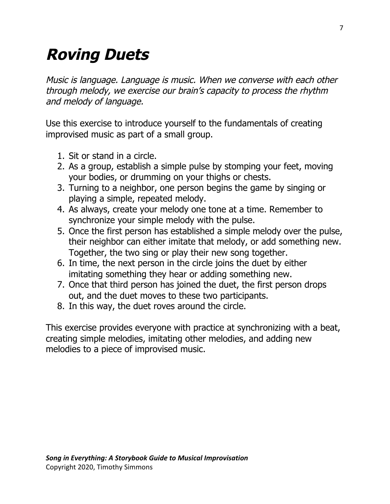# **Roving Duets**

 Music is language. Language is music. When we converse with each other through melody, we exercise our brain's capacity to process the rhythm and melody of language.

 Use this exercise to introduce yourself to the fundamentals of creating improvised music as part of a small group.

- 1. Sit or stand in a circle.
- 2. As a group, establish a simple pulse by stomping your feet, moving your bodies, or drumming on your thighs or chests.
- 3. Turning to a neighbor, one person begins the game by singing or playing a simple, repeated melody.
- 4. As always, create your melody one tone at a time. Remember to synchronize your simple melody with the pulse.
- 5. Once the first person has established a simple melody over the pulse, their neighbor can either imitate that melody, or add something new. Together, the two sing or play their new song together.
- 6. In time, the next person in the circle joins the duet by either imitating something they hear or adding something new.
- 7. Once that third person has joined the duet, the first person drops out, and the duet moves to these two participants.
- 8. In this way, the duet roves around the circle.

 This exercise provides everyone with practice at synchronizing with a beat, creating simple melodies, imitating other melodies, and adding new melodies to a piece of improvised music.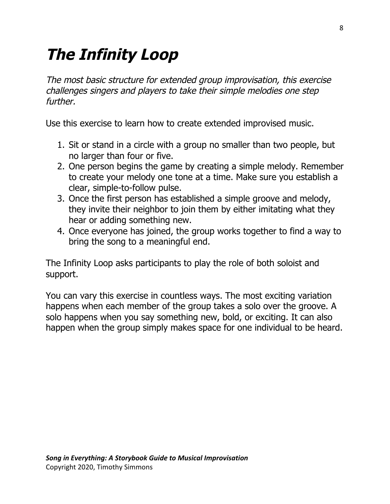# **The Infinity Loop**

 The most basic structure for extended group improvisation, this exercise challenges singers and players to take their simple melodies one step further.

Use this exercise to learn how to create extended improvised music.

- 1. Sit or stand in a circle with a group no smaller than two people, but no larger than four or five.
- 2. One person begins the game by creating a simple melody. Remember to create your melody one tone at a time. Make sure you establish a clear, simple-to-follow pulse.
- 3. Once the first person has established a simple groove and melody, they invite their neighbor to join them by either imitating what they hear or adding something new.
- 4. Once everyone has joined, the group works together to find a way to bring the song to a meaningful end.

 The Infinity Loop asks participants to play the role of both soloist and support.

 You can vary this exercise in countless ways. The most exciting variation happens when each member of the group takes a solo over the groove. A solo happens when you say something new, bold, or exciting. It can also happen when the group simply makes space for one individual to be heard.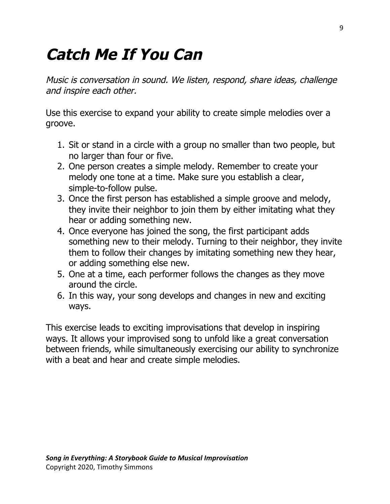# **Catch Me If You Can**

 Music is conversation in sound. We listen, respond, share ideas, challenge and inspire each other.

 Use this exercise to expand your ability to create simple melodies over a groove.

- 1. Sit or stand in a circle with a group no smaller than two people, but no larger than four or five.
- 2. One person creates a simple melody. Remember to create your melody one tone at a time. Make sure you establish a clear, simple-to-follow pulse.
- 3. Once the first person has established a simple groove and melody, they invite their neighbor to join them by either imitating what they hear or adding something new.
- 4. Once everyone has joined the song, the first participant adds something new to their melody. Turning to their neighbor, they invite them to follow their changes by imitating something new they hear, or adding something else new.
- 5. One at a time, each performer follows the changes as they move around the circle.
- 6. In this way, your song develops and changes in new and exciting ways.

 This exercise leads to exciting improvisations that develop in inspiring ways. It allows your improvised song to unfold like a great conversation between friends, while simultaneously exercising our ability to synchronize with a beat and hear and create simple melodies.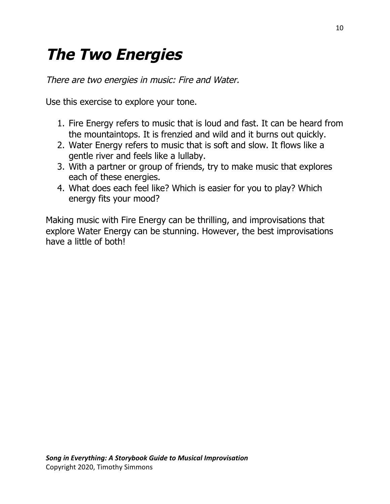# **The Two Energies**

There are two energies in music: Fire and Water.

Use this exercise to explore your tone.

- 1. Fire Energy refers to music that is loud and fast. It can be heard from the mountaintops. It is frenzied and wild and it burns out quickly.
- 2. Water Energy refers to music that is soft and slow. It flows like a gentle river and feels like a lullaby.
- 3. With a partner or group of friends, try to make music that explores each of these energies.
- 4. What does each feel like? Which is easier for you to play? Which energy fits your mood?

 Making music with Fire Energy can be thrilling, and improvisations that explore Water Energy can be stunning. However, the best improvisations have a little of both!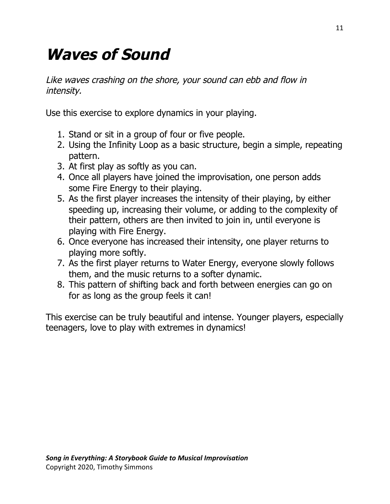# **Waves of Sound**

 Like waves crashing on the shore, your sound can ebb and flow in intensity.

Use this exercise to explore dynamics in your playing.

- 1. Stand or sit in a group of four or five people.
- 2. Using the Infinity Loop as a basic structure, begin a simple, repeating pattern.
- 3. At first play as softly as you can.
- 4. Once all players have joined the improvisation, one person adds some Fire Energy to their playing.
- 5. As the first player increases the intensity of their playing, by either speeding up, increasing their volume, or adding to the complexity of their pattern, others are then invited to join in, until everyone is playing with Fire Energy.
- 6. Once everyone has increased their intensity, one player returns to playing more softly.
- 7. As the first player returns to Water Energy, everyone slowly follows them, and the music returns to a softer dynamic.
- 8. This pattern of shifting back and forth between energies can go on for as long as the group feels it can!

 This exercise can be truly beautiful and intense. Younger players, especially teenagers, love to play with extremes in dynamics!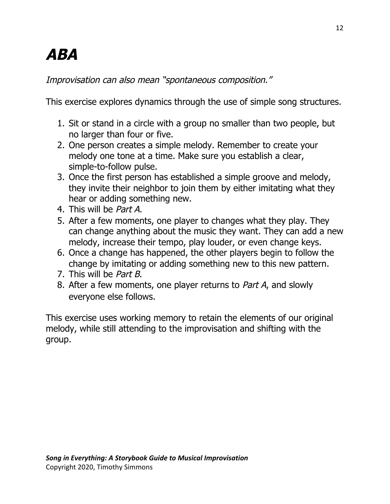# **ABA**

Improvisation can also mean "spontaneous composition."

This exercise explores dynamics through the use of simple song structures.

- 1. Sit or stand in a circle with a group no smaller than two people, but no larger than four or five.
- 2. One person creates a simple melody. Remember to create your melody one tone at a time. Make sure you establish a clear, simple-to-follow pulse.
- 3. Once the first person has established a simple groove and melody, they invite their neighbor to join them by either imitating what they hear or adding something new.
- 4. This will be *Part A*.
- 4. This will be *Part A*.<br>5. After a few moments, one player to changes what they play. They can change anything about the music they want. They can add a new melody, increase their tempo, play louder, or even change keys.
- 6. Once a change has happened, the other players begin to follow the change by imitating or adding something new to this new pattern.
- 7. This will be *Part B*.
- 7. This will be *Part B*.<br>8. After a few moments, one player returns to *Part A*, and slowly everyone else follows.

 This exercise uses working memory to retain the elements of our original melody, while still attending to the improvisation and shifting with the group.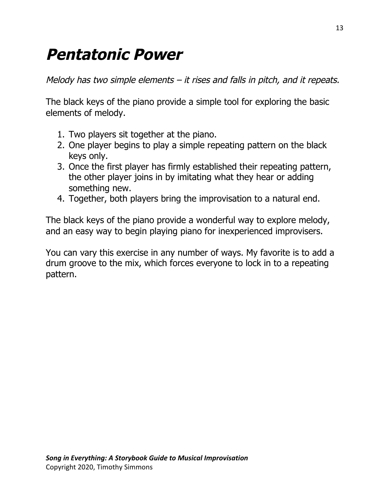## **Pentatonic Power**

Melody has two simple elements – it rises and falls in pitch, and it repeats.

 The black keys of the piano provide a simple tool for exploring the basic elements of melody.

- 1. Two players sit together at the piano.
- 2. One player begins to play a simple repeating pattern on the black keys only.
- 3. Once the first player has firmly established their repeating pattern, the other player joins in by imitating what they hear or adding something new.
- 4. Together, both players bring the improvisation to a natural end.

 The black keys of the piano provide a wonderful way to explore melody, and an easy way to begin playing piano for inexperienced improvisers.

 You can vary this exercise in any number of ways. My favorite is to add a drum groove to the mix, which forces everyone to lock in to a repeating pattern.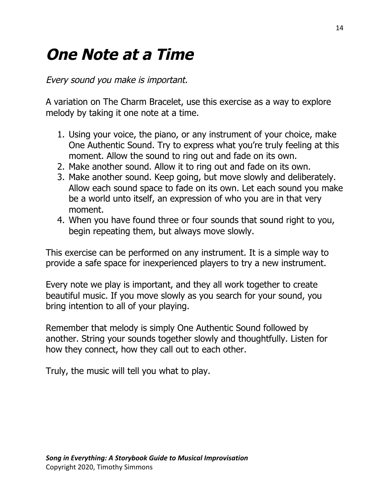# **One Note at a Time**

Every sound you make is important.

 A variation on The Charm Bracelet, use this exercise as a way to explore melody by taking it one note at a time.

- 1. Using your voice, the piano, or any instrument of your choice, make One Authentic Sound. Try to express what you're truly feeling at this moment. Allow the sound to ring out and fade on its own.
- 2. Make another sound. Allow it to ring out and fade on its own.
- 3. Make another sound. Keep going, but move slowly and deliberately. Allow each sound space to fade on its own. Let each sound you make be a world unto itself, an expression of who you are in that very moment.
- 4. When you have found three or four sounds that sound right to you, begin repeating them, but always move slowly.

 This exercise can be performed on any instrument. It is a simple way to provide a safe space for inexperienced players to try a new instrument.

 Every note we play is important, and they all work together to create beautiful music. If you move slowly as you search for your sound, you bring intention to all of your playing.

 Remember that melody is simply One Authentic Sound followed by another. String your sounds together slowly and thoughtfully. Listen for how they connect, how they call out to each other.

Truly, the music will tell you what to play.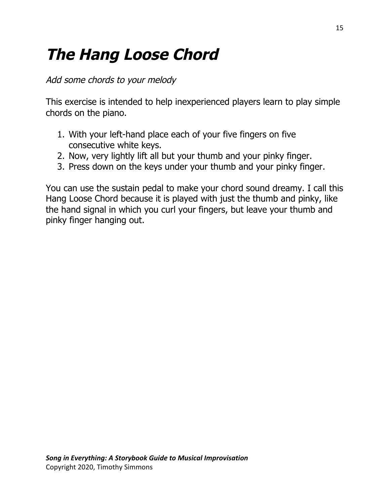# **The Hang Loose Chord**

Add some chords to your melody

 This exercise is intended to help inexperienced players learn to play simple chords on the piano.

- 1. With your left-hand place each of your five fingers on five consecutive white keys.
- 2. Now, very lightly lift all but your thumb and your pinky finger.
- 3. Press down on the keys under your thumb and your pinky finger.

 You can use the sustain pedal to make your chord sound dreamy. I call this Hang Loose Chord because it is played with just the thumb and pinky, like the hand signal in which you curl your fingers, but leave your thumb and pinky finger hanging out.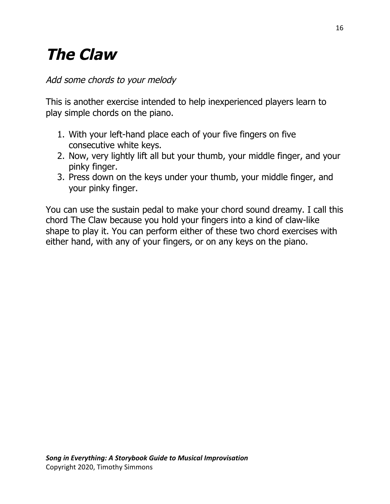# **The Claw**

### Add some chords to your melody

 This is another exercise intended to help inexperienced players learn to play simple chords on the piano.

- 1. With your left-hand place each of your five fingers on five consecutive white keys.
- 2. Now, very lightly lift all but your thumb, your middle finger, and your pinky finger.
- 3. Press down on the keys under your thumb, your middle finger, and your pinky finger.

 You can use the sustain pedal to make your chord sound dreamy. I call this chord The Claw because you hold your fingers into a kind of claw-like shape to play it. You can perform either of these two chord exercises with either hand, with any of your fingers, or on any keys on the piano.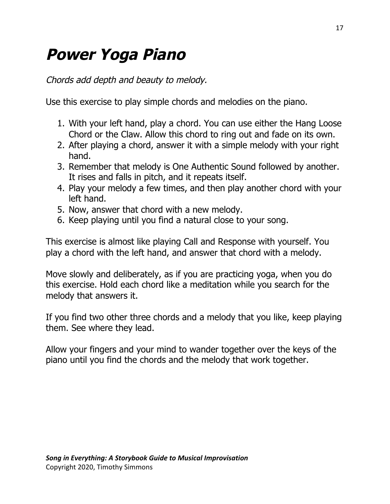## **Power Yoga Piano**

Chords add depth and beauty to melody.

Use this exercise to play simple chords and melodies on the piano.

- 1. With your left hand, play a chord. You can use either the Hang Loose Chord or the Claw. Allow this chord to ring out and fade on its own.
- 2. After playing a chord, answer it with a simple melody with your right hand.
- 3. Remember that melody is One Authentic Sound followed by another. It rises and falls in pitch, and it repeats itself.
- 4. Play your melody a few times, and then play another chord with your left hand.
- 5. Now, answer that chord with a new melody.
- 6. Keep playing until you find a natural close to your song.

 This exercise is almost like playing Call and Response with yourself. You play a chord with the left hand, and answer that chord with a melody.

 Move slowly and deliberately, as if you are practicing yoga, when you do this exercise. Hold each chord like a meditation while you search for the melody that answers it.

 If you find two other three chords and a melody that you like, keep playing them. See where they lead.

 Allow your fingers and your mind to wander together over the keys of the piano until you find the chords and the melody that work together.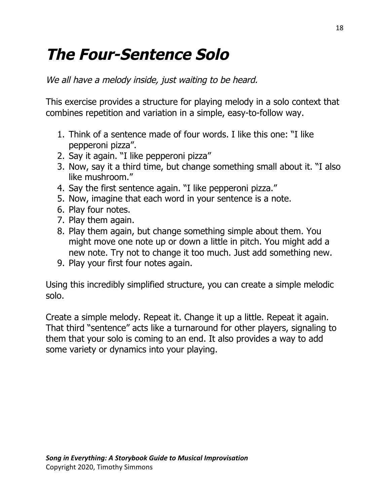## **The Four-Sentence Solo**

We all have <sup>a</sup> melody inside, just waiting to be heard.

 This exercise provides a structure for playing melody in a solo context that combines repetition and variation in a simple, easy-to-follow way.

- 1. Think of a sentence made of four words. I like this one: "I like pepperoni pizza".
- 2. Say it again. "I like pepperoni pizza"
- 3. Now, say it a third time, but change something small about it. "I also like mushroom."
- 4. Say the first sentence again. "I like pepperoni pizza."
- 5. Now, imagine that each word in your sentence is a note.
- 6. Play four notes.
- 7. Play them again.
- 8. Play them again, but change something simple about them. You might move one note up or down a little in pitch. You might add a new note. Try not to change it too much. Just add something new.
- 9. Play your first four notes again.

 Using this incredibly simplified structure, you can create a simple melodic solo.

 Create a simple melody. Repeat it. Change it up a little. Repeat it again. That third "sentence" acts like a turnaround for other players, signaling to them that your solo is coming to an end. It also provides a way to add some variety or dynamics into your playing.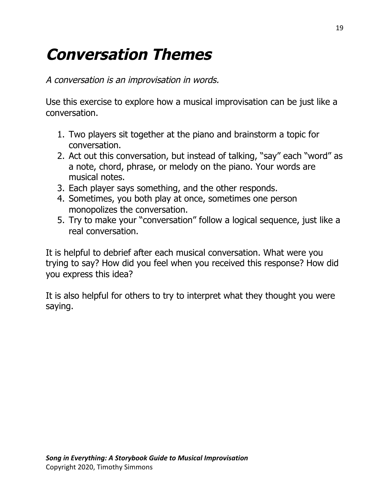# **Conversation Themes**

A conversation is an improvisation in words.

 Use this exercise to explore how a musical improvisation can be just like a conversation.

- 1. Two players sit together at the piano and brainstorm a topic for conversation.
- 2. Act out this conversation, but instead of talking, "say" each "word" as a note, chord, phrase, or melody on the piano. Your words are musical notes.
- 3. Each player says something, and the other responds.
- 4. Sometimes, you both play at once, sometimes one person monopolizes the conversation.
- 5. Try to make your "conversation" follow a logical sequence, just like a real conversation.

 It is helpful to debrief after each musical conversation. What were you trying to say? How did you feel when you received this response? How did you express this idea?

 It is also helpful for others to try to interpret what they thought you were saying.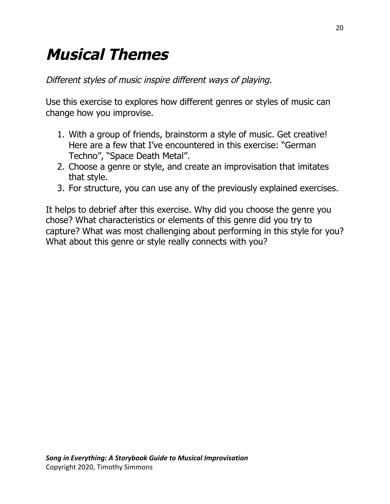# **Musical Themes**

Different styles of music inspire different ways of playing.

 Use this exercise to explores how different genres or styles of music can change how you improvise.

- 1. With a group of friends, brainstorm a style of music. Get creative! Here are a few that I've encountered in this exercise: "German Techno", "Space Death Metal".
- 2. Choose a genre or style, and create an improvisation that imitates that style.
- 3. For structure, you can use any of the previously explained exercises.

 It helps to debrief after this exercise. Why did you choose the genre you chose? What characteristics or elements of this genre did you try to capture? What was most challenging about performing in this style for you? What about this genre or style really connects with you?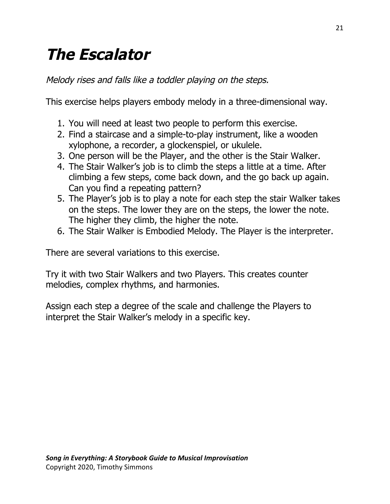# **The Escalator**

Melody rises and falls like <sup>a</sup> toddler playing on the steps.

This exercise helps players embody melody in a three-dimensional way.

- 1. You will need at least two people to perform this exercise.
- 2. Find a staircase and a simple-to-play instrument, like a wooden xylophone, a recorder, a glockenspiel, or ukulele.
- 3. One person will be the Player, and the other is the Stair Walker.
- 4. The Stair Walker's job is to climb the steps a little at a time. After climbing a few steps, come back down, and the go back up again. Can you find a repeating pattern?
- 5. The Player's job is to play a note for each step the stair Walker takes on the steps. The lower they are on the steps, the lower the note. The higher they climb, the higher the note.
- 6. The Stair Walker is Embodied Melody. The Player is the interpreter.

There are several variations to this exercise.

 Try it with two Stair Walkers and two Players. This creates counter melodies, complex rhythms, and harmonies.

 Assign each step a degree of the scale and challenge the Players to interpret the Stair Walker's melody in a specific key.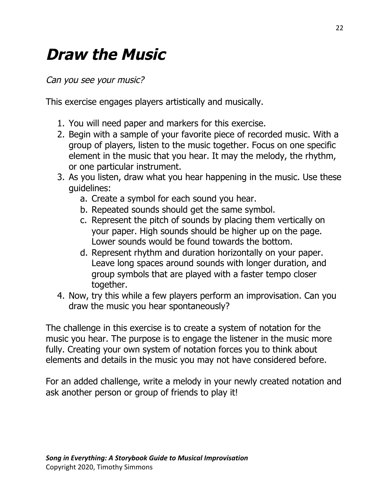## **Draw the Music**

Can you see your music?

This exercise engages players artistically and musically.

- 1. You will need paper and markers for this exercise.
- 2. Begin with a sample of your favorite piece of recorded music. With a group of players, listen to the music together. Focus on one specific element in the music that you hear. It may the melody, the rhythm, or one particular instrument.
- 3. As you listen, draw what you hear happening in the music. Use these guidelines:
	- a. Create a symbol for each sound you hear.
	- b. Repeated sounds should get the same symbol.
	- c. Represent the pitch of sounds by placing them vertically on your paper. High sounds should be higher up on the page. Lower sounds would be found towards the bottom.
	- d. Represent rhythm and duration horizontally on your paper. Leave long spaces around sounds with longer duration, and group symbols that are played with a faster tempo closer together.
- 4. Now, try this while a few players perform an improvisation. Can you draw the music you hear spontaneously?

 The challenge in this exercise is to create a system of notation for the music you hear. The purpose is to engage the listener in the music more fully. Creating your own system of notation forces you to think about elements and details in the music you may not have considered before.

 For an added challenge, write a melody in your newly created notation and ask another person or group of friends to play it!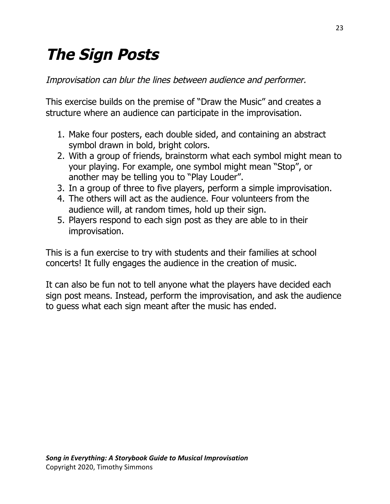# **The Sign Posts**

Improvisation can blur the lines between audience and performer.

 This exercise builds on the premise of "Draw the Music" and creates a structure where an audience can participate in the improvisation.

- 1. Make four posters, each double sided, and containing an abstract symbol drawn in bold, bright colors.
- 2. With a group of friends, brainstorm what each symbol might mean to your playing. For example, one symbol might mean "Stop", or another may be telling you to "Play Louder".
- 3. In a group of three to five players, perform a simple improvisation.
- 4. The others will act as the audience. Four volunteers from the audience will, at random times, hold up their sign.
- 5. Players respond to each sign post as they are able to in their improvisation.

 This is a fun exercise to try with students and their families at school concerts! It fully engages the audience in the creation of music.

 It can also be fun not to tell anyone what the players have decided each sign post means. Instead, perform the improvisation, and ask the audience to guess what each sign meant after the music has ended.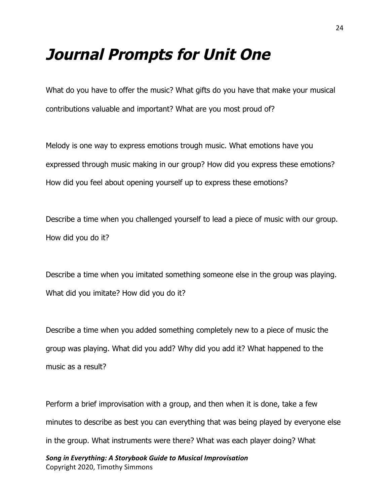### **Journal Prompts for Unit One**

What do you have to offer the music? What gifts do you have that make your musical contributions valuable and important? What are you most proud of?

Melody is one way to express emotions trough music. What emotions have you expressed through music making in our group? How did you express these emotions? How did you feel about opening yourself up to express these emotions?

Describe a time when you challenged yourself to lead a piece of music with our group. How did you do it?

Describe a time when you imitated something someone else in the group was playing. What did you imitate? How did you do it?

Describe a time when you added something completely new to a piece of music the group was playing. What did you add? Why did you add it? What happened to the music as a result?

Perform a brief improvisation with a group, and then when it is done, take a few minutes to describe as best you can everything that was being played by everyone else in the group. What instruments were there? What was each player doing? What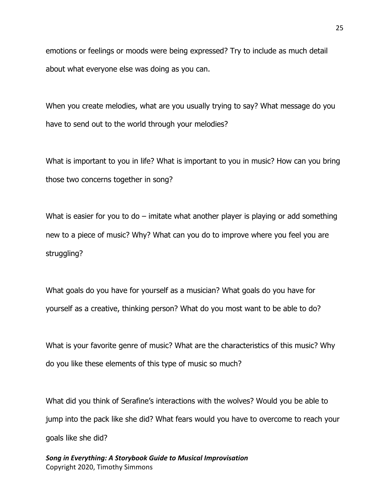emotions or feelings or moods were being expressed? Try to include as much detail about what everyone else was doing as you can.

When you create melodies, what are you usually trying to say? What message do you have to send out to the world through your melodies?

What is important to you in life? What is important to you in music? How can you bring those two concerns together in song?

What is easier for you to  $d\sigma$  – imitate what another player is playing or add something new to a piece of music? Why? What can you do to improve where you feel you are struggling?

What goals do you have for yourself as a musician? What goals do you have for yourself as a creative, thinking person? What do you most want to be able to do?

What is your favorite genre of music? What are the characteristics of this music? Why do you like these elements of this type of music so much?

What did you think of Serafine's interactions with the wolves? Would you be able to jump into the pack like she did? What fears would you have to overcome to reach your goals like she did?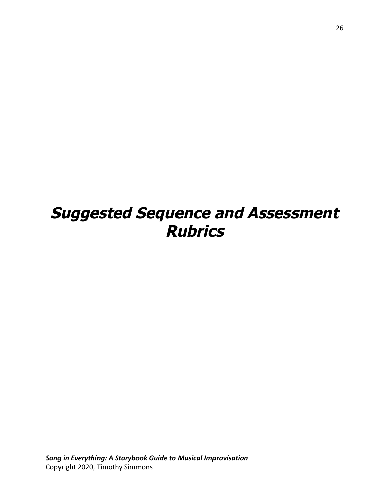## **Suggested Sequence and Assessment Rubrics**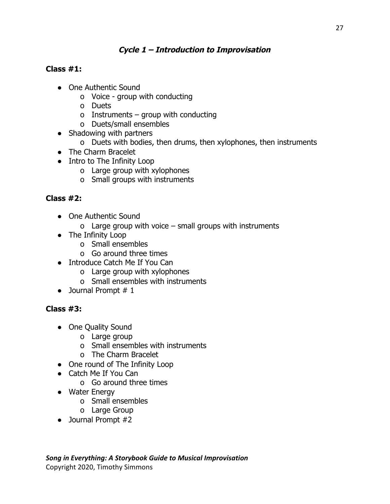### **Cycle 1 – Introduction to Improvisation**

### **Class #1:**

- One Authentic Sound
	- o Voice group with conducting
	- o Duets
	- o Instruments group with conducting
	- o Duets/small ensembles
- Shadowing with partners
	- o Duets with bodies, then drums, then xylophones, then instruments
- The Charm Bracelet
- Intro to The Infinity Loop
	- o Large group with xylophones
	- o Small groups with instruments

### **Class #2:**

- One Authentic Sound
	- o Large group with voice small groups with instruments
- The Infinity Loop
	- o Small ensembles
	- o Go around three times
- Introduce Catch Me If You Can
	- o Large group with xylophones
	- o Small ensembles with instruments
- $\bullet$  Journal Prompt # 1

### **Class #3:**

- One Quality Sound
	- o Large group
	- o Small ensembles with instruments
	- o The Charm Bracelet
- One round of The Infinity Loop
- Catch Me If You Can
	- o Go around three times
- Water Energy
	- o Small ensembles
	- o Large Group
- Journal Prompt #2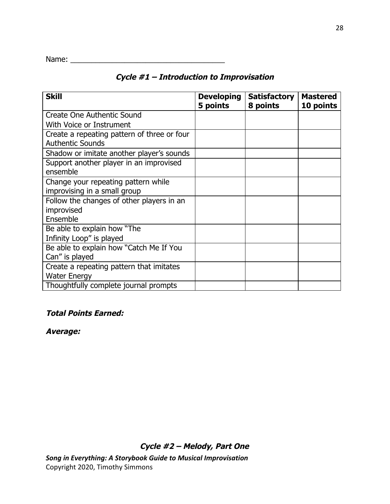| Name: |  |  |  |  |  |  |  |  |  |  |  |  |  |
|-------|--|--|--|--|--|--|--|--|--|--|--|--|--|
|       |  |  |  |  |  |  |  |  |  |  |  |  |  |

### **Cycle #1 – Introduction to Improvisation**

| <b>Skill</b>                                                           | <b>Developing</b><br>5 points | <b>Satisfactory</b><br>8 points | <b>Mastered</b><br>10 points |
|------------------------------------------------------------------------|-------------------------------|---------------------------------|------------------------------|
| Create One Authentic Sound                                             |                               |                                 |                              |
| With Voice or Instrument                                               |                               |                                 |                              |
| Create a repeating pattern of three or four<br><b>Authentic Sounds</b> |                               |                                 |                              |
| Shadow or imitate another player's sounds                              |                               |                                 |                              |
| Support another player in an improvised<br>ensemble                    |                               |                                 |                              |
| Change your repeating pattern while<br>improvising in a small group    |                               |                                 |                              |
| Follow the changes of other players in an<br>improvised<br>Ensemble    |                               |                                 |                              |
| Be able to explain how "The<br>Infinity Loop" is played                |                               |                                 |                              |
| Be able to explain how "Catch Me If You<br>Can" is played              |                               |                                 |                              |
| Create a repeating pattern that imitates<br><b>Water Energy</b>        |                               |                                 |                              |
| Thoughtfully complete journal prompts                                  |                               |                                 |                              |

### **Total Points Earned:**

**Average:**

**Cycle #2 – Melody, Part One**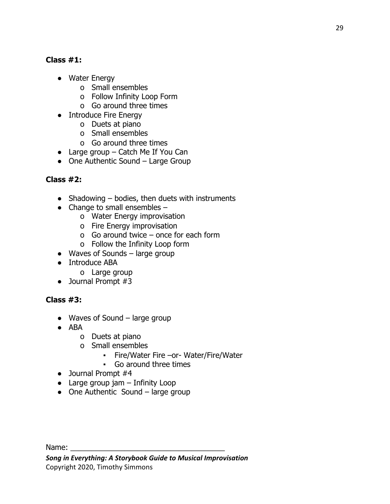### **Class #1:**

- Water Energy
	- o Small ensembles
	- o Follow Infinity Loop Form
	- o Go around three times
- Introduce Fire Energy
	- o Duets at piano
	- o Small ensembles
	- o Go around three times
- $\bullet$  Large group Catch Me If You Can
- One Authentic Sound Large Group

### **Class #2:**

- Shadowing  $-$  bodies, then duets with instruments
- $\bullet$  Change to small ensembles  $$ 
	- o Water Energy improvisation
	- o Fire Energy improvisation
	- o Go around twice once for each form
	- o Follow the Infinity Loop form
- $\bullet$  Waves of Sounds large group
- Introduce ABA
	- o Large group
- Journal Prompt #3

### **Class #3:**

- $\bullet$  Waves of Sound large group
- ABA
	- o Duets at piano
	- o Small ensembles
		- Fire/Water Fire –or- Water/Fire/Water
		- Go around three times
- Journal Prompt #4
- $\bullet$  Large group jam  $-$  Infinity Loop
- $\bullet$  One Authentic Sound large group

Name: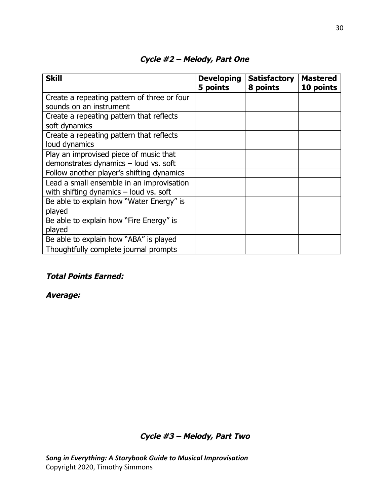| <b>Skill</b>                                | <b>Developing</b><br>5 points | <b>Satisfactory</b><br>8 points | <b>Mastered</b><br>10 points |
|---------------------------------------------|-------------------------------|---------------------------------|------------------------------|
| Create a repeating pattern of three or four |                               |                                 |                              |
| sounds on an instrument                     |                               |                                 |                              |
| Create a repeating pattern that reflects    |                               |                                 |                              |
| soft dynamics                               |                               |                                 |                              |
| Create a repeating pattern that reflects    |                               |                                 |                              |
| loud dynamics                               |                               |                                 |                              |
| Play an improvised piece of music that      |                               |                                 |                              |
| demonstrates dynamics - loud vs. soft       |                               |                                 |                              |
| Follow another player's shifting dynamics   |                               |                                 |                              |
| Lead a small ensemble in an improvisation   |                               |                                 |                              |
| with shifting dynamics $-$ loud vs. soft    |                               |                                 |                              |
| Be able to explain how "Water Energy" is    |                               |                                 |                              |
| played                                      |                               |                                 |                              |
| Be able to explain how "Fire Energy" is     |                               |                                 |                              |
| played                                      |                               |                                 |                              |
| Be able to explain how "ABA" is played      |                               |                                 |                              |
| Thoughtfully complete journal prompts       |                               |                                 |                              |

### **Cycle #2 – Melody, Part One**

#### **Total Points Earned:**

**Average:**

**Cycle #3 – Melody, Part Two**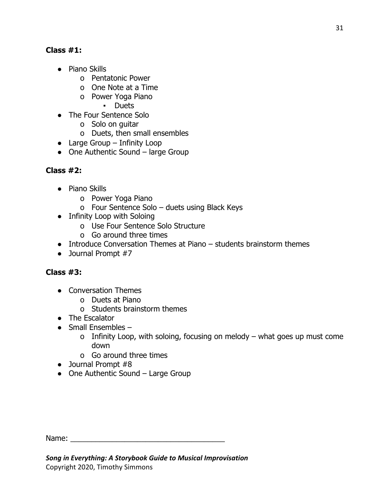### **Class #1:**

- Piano Skills
	- o Pentatonic Power
	- o One Note at a Time
	- o Power Yoga Piano
		- Duets
- The Four Sentence Solo
	- o Solo on guitar
	- o Duets, then small ensembles
- Large Group Infinity Loop
- $\bullet$  One Authentic Sound large Group

### **Class #2:**

- Piano Skills
	- o Power Yoga Piano
	- o Four Sentence Solo duets using Black Keys
- Infinity Loop with Soloing
	- o Use Four Sentence Solo Structure
	- o Go around three times
- $\bullet$  Introduce Conversation Themes at Piano students brainstorm themes
- Journal Prompt #7

### **Class #3:**

- Conversation Themes
	- o Duets at Piano
	- o Students brainstorm themes
- The Escalator
- $\bullet$  Small Ensembles
	- o Infinity Loop, with soloing, focusing on melody what goes up must come down
	- o Go around three times
- Journal Prompt #8
- One Authentic Sound Large Group

| Name: |  |
|-------|--|
|-------|--|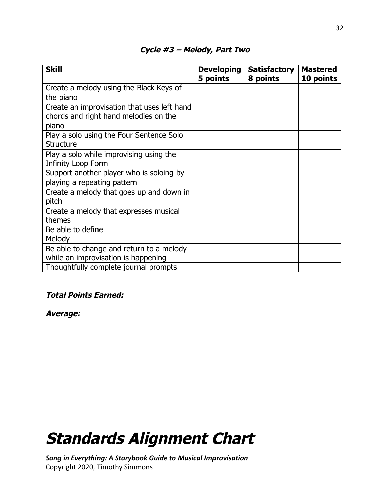| <b>Skill</b>                                                                                  | <b>Developing</b><br>5 points | <b>Satisfactory</b><br>8 points | <b>Mastered</b><br>10 points |
|-----------------------------------------------------------------------------------------------|-------------------------------|---------------------------------|------------------------------|
| Create a melody using the Black Keys of<br>the piano                                          |                               |                                 |                              |
| Create an improvisation that uses left hand<br>chords and right hand melodies on the<br>piano |                               |                                 |                              |
| Play a solo using the Four Sentence Solo<br><b>Structure</b>                                  |                               |                                 |                              |
| Play a solo while improvising using the<br>Infinity Loop Form                                 |                               |                                 |                              |
| Support another player who is soloing by<br>playing a repeating pattern                       |                               |                                 |                              |
| Create a melody that goes up and down in<br>pitch                                             |                               |                                 |                              |
| Create a melody that expresses musical<br>themes                                              |                               |                                 |                              |
| Be able to define<br>Melody                                                                   |                               |                                 |                              |
| Be able to change and return to a melody<br>while an improvisation is happening               |                               |                                 |                              |
| Thoughtfully complete journal prompts                                                         |                               |                                 |                              |

### **Cycle #3 – Melody, Part Two**

### **Total Points Earned:**

**Average:**

## **Standards Alignment Chart**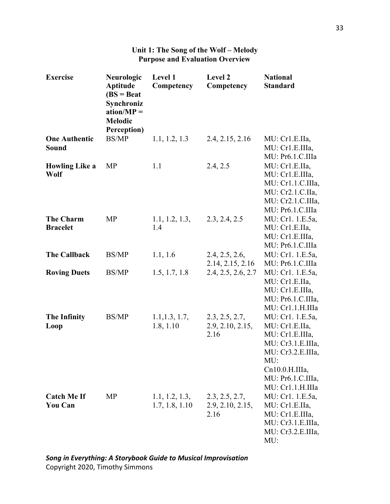| <b>Exercise</b>                      | Neurologic<br><b>Aptitude</b><br>$(BS = Beat)$<br>Synchroniz<br>$ation/MP =$<br><b>Melodic</b><br>Perception) | Level 1<br>Competency            | Level 2<br>Competency                      | <b>National</b><br><b>Standard</b>                                                                                                                                 |
|--------------------------------------|---------------------------------------------------------------------------------------------------------------|----------------------------------|--------------------------------------------|--------------------------------------------------------------------------------------------------------------------------------------------------------------------|
| <b>One Authentic</b><br><b>Sound</b> | <b>BS/MP</b>                                                                                                  | 1.1, 1.2, 1.3                    | 2.4, 2.15, 2.16                            | MU: Cr1.E.IIa,<br>MU: Cr1.E.IIIa,<br>MU: Pr6.1.C.IIIa                                                                                                              |
| <b>Howling Like a</b><br>Wolf        | MP                                                                                                            | 1.1                              | 2.4, 2.5                                   | MU: Cr1.E.IIa,<br>MU: Cr1.E.IIIa,<br>MU: Cr1.1.C.IIIa,<br>MU: Cr2.1.C.IIa,<br>MU: Cr2.1.C.IIIa,<br>MU: Pr6.1.C.IIIa                                                |
| <b>The Charm</b><br><b>Bracelet</b>  | MP                                                                                                            | 1.1, 1.2, 1.3,<br>1.4            | 2.3, 2.4, 2.5                              | MU: Cr1. 1.E.5a,<br>MU: Cr1.E.IIa,<br>MU: Cr1.E.IIIa,<br>MU: Pr6.1.C.IIIa                                                                                          |
| <b>The Callback</b>                  | BS/MP                                                                                                         | 1.1, 1.6                         | 2.4, 2.5, 2.6,<br>2.14, 2.15, 2.16         | MU: Cr1. 1.E.5a,<br>MU: Pr6.1.C.IIIa                                                                                                                               |
| <b>Roving Duets</b>                  | <b>BS/MP</b>                                                                                                  | 1.5, 1.7, 1.8                    | 2.4, 2.5, 2.6, 2.7                         | MU: Cr1. 1.E.5a,<br>MU: Cr1.E.IIa,<br>MU: Cr1.E.IIIa,<br>MU: Pr6.1.C.IIIa,<br>MU: Cr1.1.H.IIIa                                                                     |
| <b>The Infinity</b><br>Loop          | <b>BS/MP</b>                                                                                                  | 1.1, 1.3, 1.7,<br>1.8, 1.10      | 2.3, 2.5, 2.7,<br>2.9, 2.10, 2.15,<br>2.16 | MU: Cr1. 1.E.5a,<br>MU: Cr1.E.IIa,<br>MU: Cr1.E. IIIa,<br>MU: Cr3.1.E.IIIa,<br>MU: Cr3.2.E.IIIa,<br>MU:<br>Cn10.0.H.IIIa,<br>MU: Pr6.1.C.IIIa,<br>MU: Cr1.1.H.IIIa |
| <b>Catch Me If</b><br><b>You Can</b> | MP                                                                                                            | 1.1, 1.2, 1.3,<br>1.7, 1.8, 1.10 | 2.3, 2.5, 2.7,<br>2.9, 2.10, 2.15,<br>2.16 | MU: Cr1. 1.E.5a,<br>MU: Cr1.E.IIa,<br>MU: Cr1.E.IIIa,<br>MU: Cr3.1.E.IIIa,<br>MU: Cr3.2.E.IIIa,<br>MU:                                                             |

### **Unit 1: The Song of the Wolf – Melody Purpose and Evaluation Overview**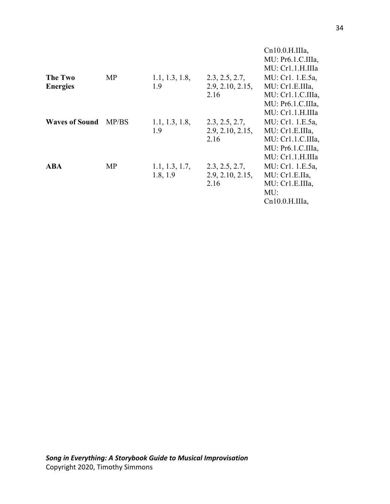|                       |           |                |                  | Cn10.0.H.IIIa,     |
|-----------------------|-----------|----------------|------------------|--------------------|
|                       |           |                |                  | MU: Pr6.1.C. II1a, |
|                       |           |                |                  | MU: Cr1.1.H.IIIa   |
| The Two               | <b>MP</b> | 1.1, 1.3, 1.8, | 2.3, 2.5, 2.7,   | MU: Cr1. 1.E.5a,   |
| <b>Energies</b>       |           | 1.9            | 2.9, 2.10, 2.15, | MU: Cr1.E.IIIa,    |
|                       |           |                | 2.16             | MU: Cr1.1.C.IIIa,  |
|                       |           |                |                  | MU: Pr6.1.C.IIIa,  |
|                       |           |                |                  | MU: Cr1.1.H.IIIa   |
| <b>Waves of Sound</b> | MP/BS     | 1.1, 1.3, 1.8, | 2.3, 2.5, 2.7,   | MU: Cr1. 1.E.5a,   |
|                       |           | 1.9            | 2.9, 2.10, 2.15, | MU: Cr1.E. IIIa,   |
|                       |           |                | 2.16             | MU: Cr1.1.C. II1a, |
|                       |           |                |                  | MU: Pr6.1.C. II1a, |
|                       |           |                |                  | MU: Cr1.1.H. IIIa  |
| ABA                   | MP        | 1.1, 1.3, 1.7, | 2.3, 2.5, 2.7,   | MU: Cr1. 1.E.5a,   |
|                       |           | 1.8, 1.9       | 2.9, 2.10, 2.15, | MU: Cr1.E.IIa,     |
|                       |           |                | 2.16             | MU: Cr1.E.IIIa,    |
|                       |           |                |                  | MU:                |
|                       |           |                |                  | $Cn10.0.H. IIIa$ , |
|                       |           |                |                  |                    |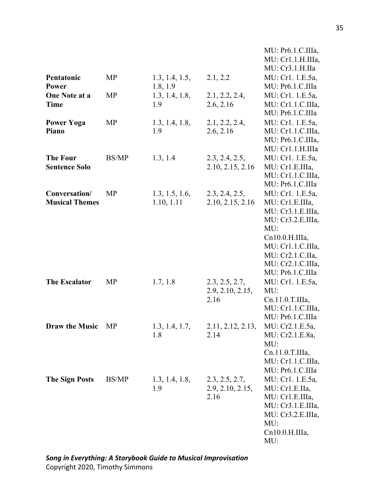|                                         |              |                              |                                            | MU: Pr6.1.C.IIIa,<br>MU: Cr1.1.H.IIIa,<br>MU: Cr3.1.H.IIa                                                                                                                                |
|-----------------------------------------|--------------|------------------------------|--------------------------------------------|------------------------------------------------------------------------------------------------------------------------------------------------------------------------------------------|
| Pentatonic<br>Power                     | MP           | 1.3, 1.4, 1.5,<br>1.8, 1.9   | 2.1, 2.2                                   | MU: Cr1. 1.E.5a,<br>MU: Pr6.1.C.IIIa                                                                                                                                                     |
| One Note at a<br><b>Time</b>            | MP           | 1.3, 1.4, 1.8,<br>1.9        | 2.1, 2.2, 2.4,<br>2.6, 2.16                | MU: Cr1. 1.E.5a,<br>MU: Cr1.1.C.IIIa,<br>MU: Pr6.1.C.IIIa                                                                                                                                |
| <b>Power Yoga</b><br>Piano              | MP           | 1.3, 1.4, 1.8,<br>1.9        | 2.1, 2.2, 2.4,<br>2.6, 2.16                | MU: Cr1. 1.E.5a,<br>MU: Cr1.1.C.IIIa,<br>MU: Pr6.1.C.IIIa,<br>MU: Cr1.1.H.IIIa                                                                                                           |
| <b>The Four</b><br><b>Sentence Solo</b> | <b>BS/MP</b> | 1.3, 1.4                     | 2.3, 2.4, 2.5,<br>2.10, 2.15, 2.16         | MU: Cr1. 1.E.5a,<br>MU: Cr1.E.IIIa,<br>MU: Cr1.1.C.IIIa,<br>MU: Pr6.1.C.IIIa                                                                                                             |
| Conversation/<br><b>Musical Themes</b>  | MP           | 1.3, 1.5, 1.6,<br>1.10, 1.11 | 2.3, 2.4, 2.5,<br>2.10, 2.15, 2.16         | MU: Cr1. 1.E.5a,<br>MU: Cr1.E.IIIa,<br>MU: Cr3.1.E.IIIa,<br>MU: Cr3.2.E.IIIa,<br>MU:<br>Cn10.0.H.IIIa,<br>MU: Cr1.1.C.IIIa,<br>MU: Cr2.1.C.IIa,<br>MU: Cr2.1.C.IIIa,<br>MU: Pr6.1.C.IIIa |
| <b>The Escalator</b>                    | MP           | 1.7, 1.8                     | 2.3, 2.5, 2.7,<br>2.9, 2.10, 2.15,<br>2.16 | MU: Cr1. 1.E.5a,<br>MU:<br>Cn.11.0.T.IIIa,<br>MU: Cr1.1.C.IIIa,<br>MU: Pr6.1.C.IIIa                                                                                                      |
| <b>Draw the Music</b>                   | MP           | 1.3, 1.4, 1.7,<br>1.8        | 2.11, 2.12, 2.13,<br>2.14                  | MU: Cr2.1.E.5a,<br>MU: Cr2.1.E.8a,<br>MU:<br>Cn.11.0.T.IIIa,<br>MU: Cr1.1.C.IIIa,<br>MU: Pr6.1.C.IIIa                                                                                    |
| <b>The Sign Posts</b>                   | <b>BS/MP</b> | 1.3, 1.4, 1.8,<br>1.9        | 2.3, 2.5, 2.7,<br>2.9, 2.10, 2.15,<br>2.16 | MU: Cr1. 1.E.5a,<br>MU: Cr1.E.IIa,<br>MU: Cr1.E.IIIa,<br>MU: Cr3.1.E.IIIa,<br>MU: Cr3.2.E.IIIa,<br>MU:<br>Cn10.0.H.IIIa,<br>MU:                                                          |